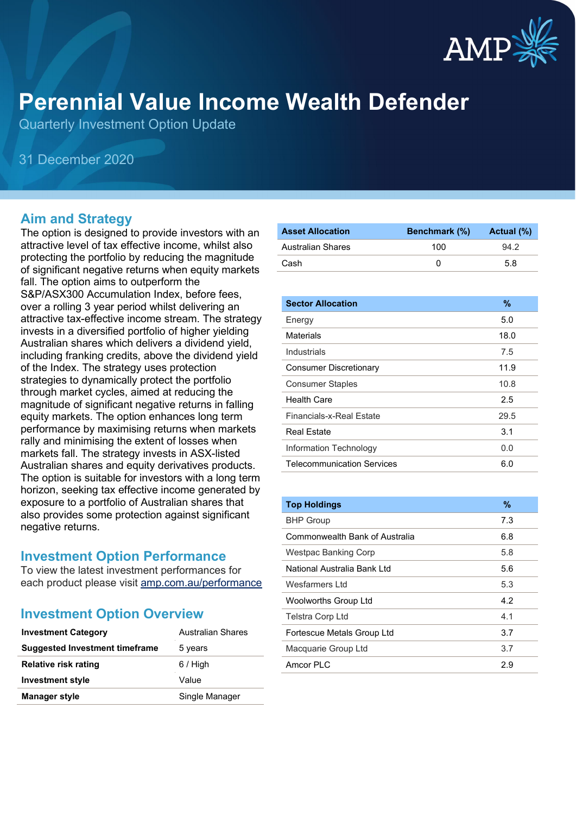

# **Perennial Value Income Wealth Defender**

Quarterly Investment Option Update

31 December 2020

#### **Aim and Strategy**

The option is designed to provide investors with an attractive level of tax effective income, whilst also protecting the portfolio by reducing the magnitude of significant negative returns when equity markets fall. The option aims to outperform the S&P/ASX300 Accumulation Index, before fees, over a rolling 3 year period whilst delivering an attractive tax-effective income stream. The strategy invests in a diversified portfolio of higher yielding Australian shares which delivers a dividend yield, including franking credits, above the dividend yield of the Index. The strategy uses protection strategies to dynamically protect the portfolio through market cycles, aimed at reducing the magnitude of significant negative returns in falling equity markets. The option enhances long term performance by maximising returns when markets rally and minimising the extent of losses when markets fall. The strategy invests in ASX-listed Australian shares and equity derivatives products. The option is suitable for investors with a long term horizon, seeking tax effective income generated by exposure to a portfolio of Australian shares that also provides some protection against significant negative returns.

#### **Investment Option Performance**

To view the latest investment performances for each product please visit [amp.com.au/performance](https://www.amp.com.au/performance)

#### **Investment Option Overview**

| <b>Investment Category</b>     | <b>Australian Shares</b> |
|--------------------------------|--------------------------|
| Suggested Investment timeframe | 5 years                  |
| <b>Relative risk rating</b>    | $6/$ High                |
| <b>Investment style</b>        | Value                    |
| <b>Manager style</b>           | Single Manager           |

| <b>Asset Allocation</b> | <b>Benchmark</b> (%) | Actual (%) |
|-------------------------|----------------------|------------|
| Australian Shares       | 100                  | 94.2       |
| Cash                    |                      | 5.8        |

| <b>Sector Allocation</b>          | $\frac{9}{6}$ |
|-----------------------------------|---------------|
| Energy                            | 5.0           |
| Materials                         | 18.0          |
| Industrials                       | 7.5           |
| <b>Consumer Discretionary</b>     | 11.9          |
| <b>Consumer Staples</b>           | 10.8          |
| <b>Health Care</b>                | 2.5           |
| Financials-x-Real Fstate          | 29.5          |
| Real Estate                       | 3.1           |
| Information Technology            | 0.0           |
| <b>Telecommunication Services</b> | 6.0           |

| <b>Top Holdings</b>            | $\%$ |
|--------------------------------|------|
| <b>BHP Group</b>               | 7.3  |
| Commonwealth Bank of Australia | 6.8  |
| Westpac Banking Corp           | 5.8  |
| National Australia Bank I td   | 5.6  |
| Wesfarmers I td                | 5.3  |
| <b>Woolworths Group Ltd</b>    | 4.2  |
| <b>Telstra Corp Ltd</b>        | 4.1  |
| Fortescue Metals Group Ltd     | 3.7  |
| Macquarie Group Ltd            | 3.7  |
| Amcor PI C                     | 2.9  |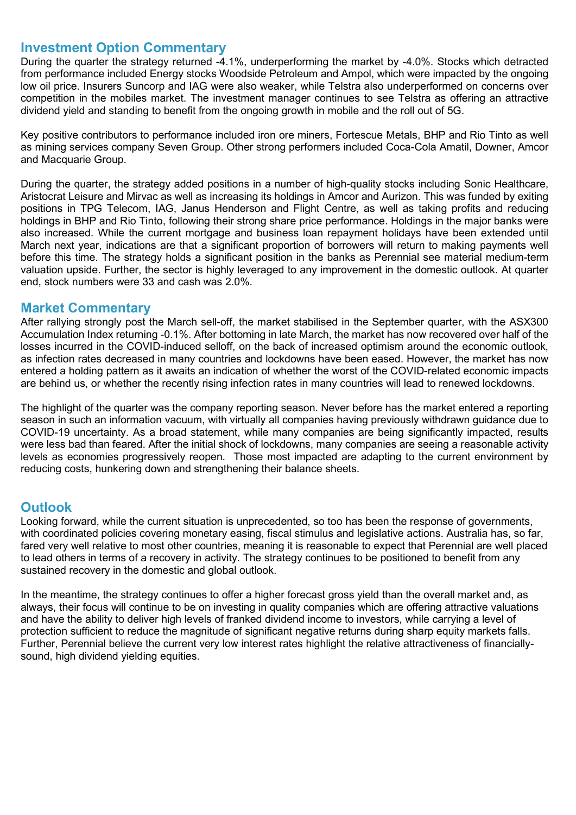### **Investment Option Commentary**

During the quarter the strategy returned -4.1%, underperforming the market by -4.0%. Stocks which detracted from performance included Energy stocks Woodside Petroleum and Ampol, which were impacted by the ongoing low oil price. Insurers Suncorp and IAG were also weaker, while Telstra also underperformed on concerns over competition in the mobiles market. The investment manager continues to see Telstra as offering an attractive dividend yield and standing to benefit from the ongoing growth in mobile and the roll out of 5G.

Key positive contributors to performance included iron ore miners, Fortescue Metals, BHP and Rio Tinto as well as mining services company Seven Group. Other strong performers included Coca-Cola Amatil, Downer, Amcor and Macquarie Group.

During the quarter, the strategy added positions in a number of high-quality stocks including Sonic Healthcare, Aristocrat Leisure and Mirvac as well as increasing its holdings in Amcor and Aurizon. This was funded by exiting positions in TPG Telecom, IAG, Janus Henderson and Flight Centre, as well as taking profits and reducing holdings in BHP and Rio Tinto, following their strong share price performance. Holdings in the major banks were also increased. While the current mortgage and business loan repayment holidays have been extended until March next year, indications are that a significant proportion of borrowers will return to making payments well before this time. The strategy holds a significant position in the banks as Perennial see material medium-term valuation upside. Further, the sector is highly leveraged to any improvement in the domestic outlook. At quarter end, stock numbers were 33 and cash was 2.0%.

#### **Market Commentary**

After rallying strongly post the March sell-off, the market stabilised in the September quarter, with the ASX300 Accumulation Index returning -0.1%. After bottoming in late March, the market has now recovered over half of the losses incurred in the COVID-induced selloff, on the back of increased optimism around the economic outlook, as infection rates decreased in many countries and lockdowns have been eased. However, the market has now entered a holding pattern as it awaits an indication of whether the worst of the COVID-related economic impacts are behind us, or whether the recently rising infection rates in many countries will lead to renewed lockdowns.

The highlight of the quarter was the company reporting season. Never before has the market entered a reporting season in such an information vacuum, with virtually all companies having previously withdrawn guidance due to COVID-19 uncertainty. As a broad statement, while many companies are being significantly impacted, results were less bad than feared. After the initial shock of lockdowns, many companies are seeing a reasonable activity levels as economies progressively reopen. Those most impacted are adapting to the current environment by reducing costs, hunkering down and strengthening their balance sheets.

#### **Outlook**

Looking forward, while the current situation is unprecedented, so too has been the response of governments, with coordinated policies covering monetary easing, fiscal stimulus and legislative actions. Australia has, so far, fared very well relative to most other countries, meaning it is reasonable to expect that Perennial are well placed to lead others in terms of a recovery in activity. The strategy continues to be positioned to benefit from any sustained recovery in the domestic and global outlook.

In the meantime, the strategy continues to offer a higher forecast gross yield than the overall market and, as always, their focus will continue to be on investing in quality companies which are offering attractive valuations and have the ability to deliver high levels of franked dividend income to investors, while carrying a level of protection sufficient to reduce the magnitude of significant negative returns during sharp equity markets falls. Further, Perennial believe the current very low interest rates highlight the relative attractiveness of financiallysound, high dividend yielding equities.